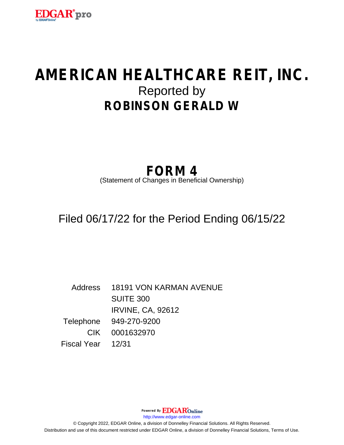

# **AMERICAN HEALTHCARE REIT, INC.** Reported by **ROBINSON GERALD W**

## **FORM 4**

(Statement of Changes in Beneficial Ownership)

Filed 06/17/22 for the Period Ending 06/15/22

Address 18191 VON KARMAN AVENUE SUITE 300 IRVINE, CA, 92612 Telephone 949-270-9200 CIK 0001632970 Fiscal Year 12/31

http://www.edgar-online.com © Copyright 2022, EDGAR Online, a division of Donnelley Financial Solutions. All Rights Reserved. Distribution and use of this document restricted under EDGAR Online, a division of Donnelley Financial Solutions, Terms of Use.

Powered By **EDGAR**Online